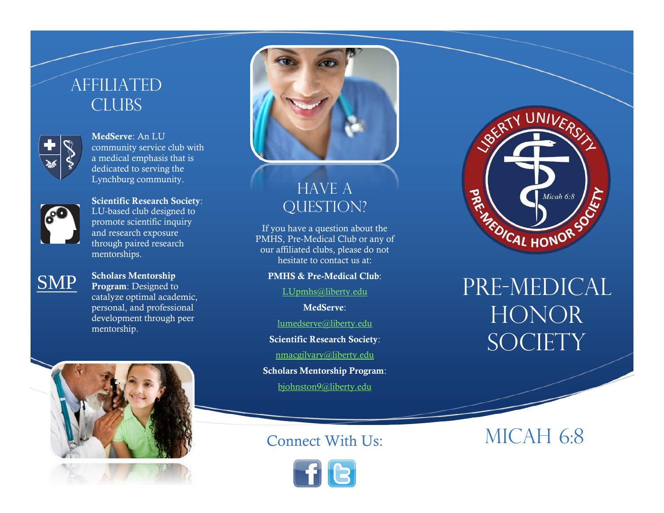## **AFFILIATED** CLUBS



**MedServe**: An LU community service club with a medical emphasis that is dedicated to serving the Lynchburg community.



**Scientific Research Society**: LU-based club designed to promote scientific inquiry and research exposure through paired research mentorships.



**Scholars Mentorship Program**: Designed to catalyze optimal academic, personal, and professional development through peer mentorship.







### **HAVE A** QUESTION?

If you have a question about the PMHS, Pre-Medical Club or any of our affiliated clubs, please do not hesitate to contact us at:

#### **PMHS & Pre-Medical Club**:

[LUpmhs@liberty.edu](mailto:LUpmhs@liberty.edu)

**MedServe**:

[lumedserve@liberty.edu](mailto:lumedserve@liberty.edu)

**Scientific Research Society**:

[nmacgilvary@liberty.edu](mailto:nmacgilvary@liberty.edu)

**Scholars Mentorship Program**: [bjohnston9@liberty.edu](mailto:Bjohnston9@liberty.edu)





# PRE-MEDICAL **HONOR** SOCIETY

Connect With Us: MICAH 6:8